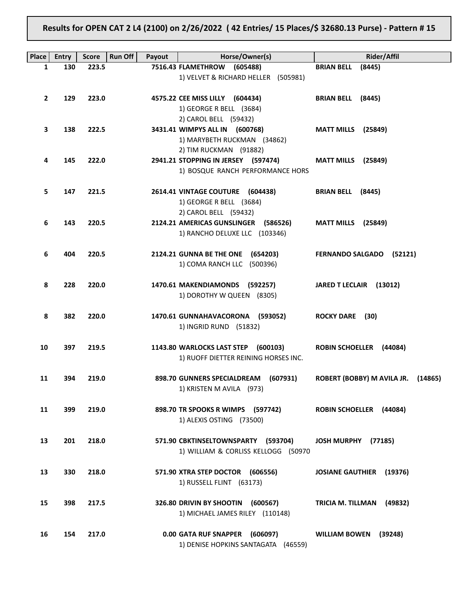# Results for OPEN CAT 2 L4 (2100) on 2/26/2022 ( 42 Entries/ 15 Places/\$ 32680.13 Purse) - Pattern # 15

| Place        | Entry | <b>Score</b> | <b>Run Off</b><br>Payout | Horse/Owner(s)                                                | <b>Rider/Affil</b>                    |
|--------------|-------|--------------|--------------------------|---------------------------------------------------------------|---------------------------------------|
| 1            | 130   | 223.5        |                          | 7516.43 FLAMETHROW<br>(605488)                                | <b>BRIAN BELL</b><br>(8445)           |
|              |       |              |                          | 1) VELVET & RICHARD HELLER (505981)                           |                                       |
|              |       |              |                          |                                                               |                                       |
| $\mathbf{2}$ | 129   | 223.0        |                          | 4575.22 CEE MISS LILLY (604434)                               | BRIAN BELL (8445)                     |
|              |       |              |                          | 1) GEORGE R BELL (3684)                                       |                                       |
|              |       |              |                          | 2) CAROL BELL (59432)                                         |                                       |
| 3            | 138   | 222.5        |                          | 3431.41 WIMPYS ALL IN (600768)                                | <b>MATT MILLS</b><br>(25849)          |
|              |       |              |                          | 1) MARYBETH RUCKMAN (34862)                                   |                                       |
| 4            | 145   | 222.0        |                          | 2) TIM RUCKMAN (91882)<br>2941.21 STOPPING IN JERSEY (597474) |                                       |
|              |       |              |                          | 1) BOSQUE RANCH PERFORMANCE HORS                              | <b>MATT MILLS</b> (25849)             |
|              |       |              |                          |                                                               |                                       |
| 5            | 147   | 221.5        |                          | 2614.41 VINTAGE COUTURE (604438)                              | BRIAN BELL (8445)                     |
|              |       |              |                          | 1) GEORGE R BELL (3684)                                       |                                       |
|              |       |              |                          | 2) CAROL BELL (59432)                                         |                                       |
| 6            | 143   | 220.5        |                          | 2124.21 AMERICAS GUNSLINGER (586526)                          | <b>MATT MILLS</b> (25849)             |
|              |       |              |                          | 1) RANCHO DELUXE LLC (103346)                                 |                                       |
|              |       |              |                          |                                                               |                                       |
| 6            | 404   | 220.5        |                          | 2124.21 GUNNA BE THE ONE (654203)                             | FERNANDO SALGADO (52121)              |
|              |       |              |                          | 1) COMA RANCH LLC (500396)                                    |                                       |
|              |       |              |                          |                                                               |                                       |
| 8            | 228   | 220.0        |                          | 1470.61 MAKENDIAMONDS (592257)<br>1) DOROTHY W QUEEN (8305)   | JARED T LECLAIR (13012)               |
|              |       |              |                          |                                                               |                                       |
| 8            | 382   | 220.0        |                          | 1470.61 GUNNAHAVACORONA (593052)                              | ROCKY DARE (30)                       |
|              |       |              |                          | 1) INGRID RUND (51832)                                        |                                       |
|              |       |              |                          |                                                               |                                       |
| 10           | 397   | 219.5        |                          | 1143.80 WARLOCKS LAST STEP (600103)                           | <b>ROBIN SCHOELLER (44084)</b>        |
|              |       |              |                          | 1) RUOFF DIETTER REINING HORSES INC.                          |                                       |
|              |       |              |                          |                                                               |                                       |
| 11           | 394   | 219.0        |                          | 898.70 GUNNERS SPECIALDREAM (607931)                          | ROBERT (BOBBY) M AVILA JR.<br>(14865) |
|              |       |              |                          | 1) KRISTEN M AVILA (973)                                      |                                       |
|              |       |              |                          |                                                               |                                       |
| 11           | 399   | 219.0        |                          | 898.70 TR SPOOKS R WIMPS (597742)                             | ROBIN SCHOELLER (44084)               |
|              |       |              |                          | 1) ALEXIS OSTING (73500)                                      |                                       |
| 13           | 201   | 218.0        |                          | 571.90 CBKTINSELTOWNSPARTY (593704)                           | JOSH MURPHY (77185)                   |
|              |       |              |                          | 1) WILLIAM & CORLISS KELLOGG (50970                           |                                       |
|              |       |              |                          |                                                               |                                       |
| 13           | 330   | 218.0        |                          | 571.90 XTRA STEP DOCTOR (606556)                              | <b>JOSIANE GAUTHIER</b><br>(19376)    |
|              |       |              |                          | 1) RUSSELL FLINT (63173)                                      |                                       |
|              |       |              |                          |                                                               |                                       |
| 15           | 398   | 217.5        |                          | 326.80 DRIVIN BY SHOOTIN<br>(600567)                          | TRICIA M. TILLMAN<br>(49832)          |
|              |       |              |                          | 1) MICHAEL JAMES RILEY (110148)                               |                                       |
|              |       |              |                          |                                                               |                                       |
| 16           | 154   | 217.0        |                          | 0.00 GATA RUF SNAPPER (606097)                                | <b>WILLIAM BOWEN</b><br>(39248)       |
|              |       |              |                          | 1) DENISE HOPKINS SANTAGATA (46559)                           |                                       |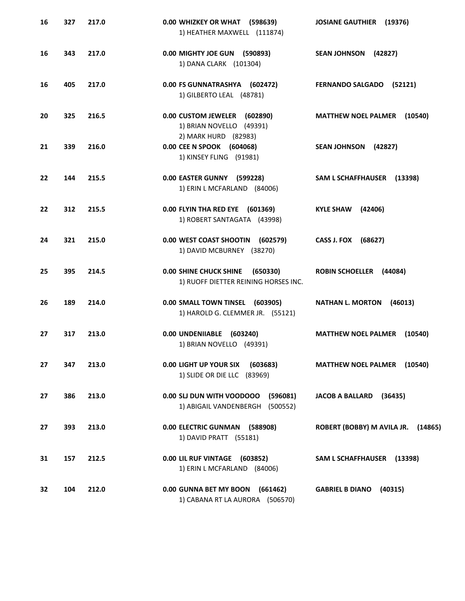| 16 | 327 | 217.0 | 0.00 WHIZKEY OR WHAT (598639)<br>1) HEATHER MAXWELL (111874)                      | <b>JOSIANE GAUTHIER (19376)</b>       |
|----|-----|-------|-----------------------------------------------------------------------------------|---------------------------------------|
| 16 | 343 | 217.0 | 0.00 MIGHTY JOE GUN (590893)<br>1) DANA CLARK (101304)                            | <b>SEAN JOHNSON</b><br>(42827)        |
| 16 | 405 | 217.0 | 0.00 FS GUNNATRASHYA (602472)<br>1) GILBERTO LEAL (48781)                         | FERNANDO SALGADO (52121)              |
| 20 | 325 | 216.5 | 0.00 CUSTOM JEWELER (602890)<br>1) BRIAN NOVELLO (49391)                          | <b>MATTHEW NOEL PALMER</b><br>(10540) |
| 21 | 339 | 216.0 | 2) MARK HURD (82983)<br>0.00 CEE N SPOOK (604068)<br>1) KINSEY FLING (91981)      | <b>SEAN JOHNSON</b><br>(42827)        |
| 22 | 144 | 215.5 | 0.00 EASTER GUNNY (599228)<br>1) ERIN L MCFARLAND (84006)                         | <b>SAM L SCHAFFHAUSER</b><br>(13398)  |
| 22 | 312 | 215.5 | 0.00 FLYIN THA RED EYE (601369)<br>1) ROBERT SANTAGATA (43998)                    | <b>KYLE SHAW</b><br>(42406)           |
| 24 | 321 | 215.0 | 0.00 WEST COAST SHOOTIN (602579)<br>1) DAVID MCBURNEY (38270)                     | CASS J. FOX (68627)                   |
| 25 | 395 | 214.5 | <b>0.00 SHINE CHUCK SHINE</b><br>(650330)<br>1) RUOFF DIETTER REINING HORSES INC. | ROBIN SCHOELLER (44084)               |
| 26 | 189 | 214.0 | 0.00 SMALL TOWN TINSEL (603905)<br>1) HAROLD G. CLEMMER JR. (55121)               | <b>NATHAN L. MORTON</b><br>(46013)    |
| 27 | 317 | 213.0 | 0.00 UNDENIIABLE (603240)<br>1) BRIAN NOVELLO (49391)                             | <b>MATTHEW NOEL PALMER</b><br>(10540) |
| 27 | 347 | 213.0 | 0.00 LIGHT UP YOUR SIX<br>(603683)<br>1) SLIDE OR DIE LLC (83969)                 | <b>MATTHEW NOEL PALMER</b><br>(10540) |
| 27 | 386 | 213.0 | 0.00 SLI DUN WITH VOODOOO<br>(596081)<br>1) ABIGAIL VANDENBERGH (500552)          | <b>JACOB A BALLARD</b><br>(36435)     |
| 27 | 393 | 213.0 | 0.00 ELECTRIC GUNMAN (588908)<br>1) DAVID PRATT (55181)                           | ROBERT (BOBBY) M AVILA JR. (14865)    |
| 31 | 157 | 212.5 | 0.00 LIL RUF VINTAGE (603852)<br>1) ERIN L MCFARLAND (84006)                      | SAM L SCHAFFHAUSER (13398)            |
| 32 | 104 | 212.0 | 0.00 GUNNA BET MY BOON (661462)<br>1) CABANA RT LA AURORA (506570)                | <b>GABRIEL B DIANO</b><br>(40315)     |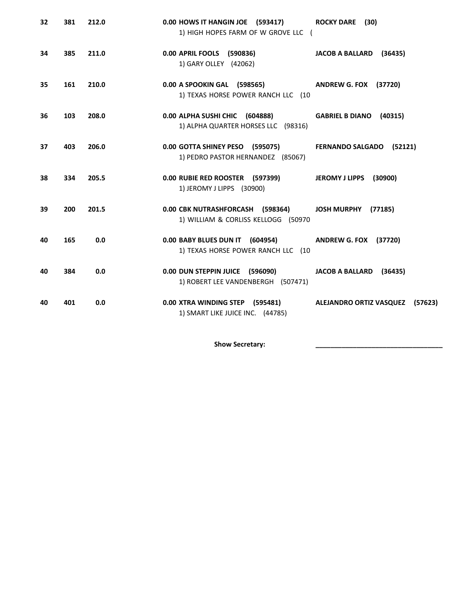| 32 | 381 | 212.0 | 0.00 HOWS IT HANGIN JOE (593417)<br>1) HIGH HOPES FARM OF W GROVE LLC (                     | <b>ROCKY DARE</b> (30)                    |
|----|-----|-------|---------------------------------------------------------------------------------------------|-------------------------------------------|
| 34 | 385 | 211.0 | 0.00 APRIL FOOLS (590836)<br>1) GARY OLLEY (42062)                                          | JACOB A BALLARD (36435)                   |
| 35 | 161 | 210.0 | 0.00 A SPOOKIN GAL (598565)<br>1) TEXAS HORSE POWER RANCH LLC (10                           | <b>ANDREW G. FOX (37720)</b>              |
| 36 | 103 | 208.0 | 0.00 ALPHA SUSHI CHIC (604888)<br>1) ALPHA QUARTER HORSES LLC (98316)                       | GABRIEL B DIANO (40315)                   |
| 37 | 403 | 206.0 | 0.00 GOTTA SHINEY PESO (595075)<br>1) PEDRO PASTOR HERNANDEZ (85067)                        | FERNANDO SALGADO (52121)                  |
| 38 | 334 | 205.5 | 0.00 RUBIE RED ROOSTER (597399)<br>1) JEROMY J LIPPS (30900)                                | <b>JEROMY J LIPPS</b><br>(30900)          |
| 39 | 200 | 201.5 | 0.00 CBK NUTRASHFORCASH (598364)<br>1) WILLIAM & CORLISS KELLOGG (50970                     | JOSH MURPHY (77185)                       |
| 40 | 165 | 0.0   | 0.00 BABY BLUES DUN IT (604954) ANDREW G. FOX (37720)<br>1) TEXAS HORSE POWER RANCH LLC (10 |                                           |
| 40 | 384 | 0.0   | 0.00 DUN STEPPIN JUICE (596090)<br>1) ROBERT LEE VANDENBERGH (507471)                       | JACOB A BALLARD (36435)                   |
| 40 | 401 | 0.0   | 0.00 XTRA WINDING STEP (595481)<br>1) SMART LIKE JUICE INC. (44785)                         | <b>ALEJANDRO ORTIZ VASQUEZ</b><br>(57623) |

Show Secretary: